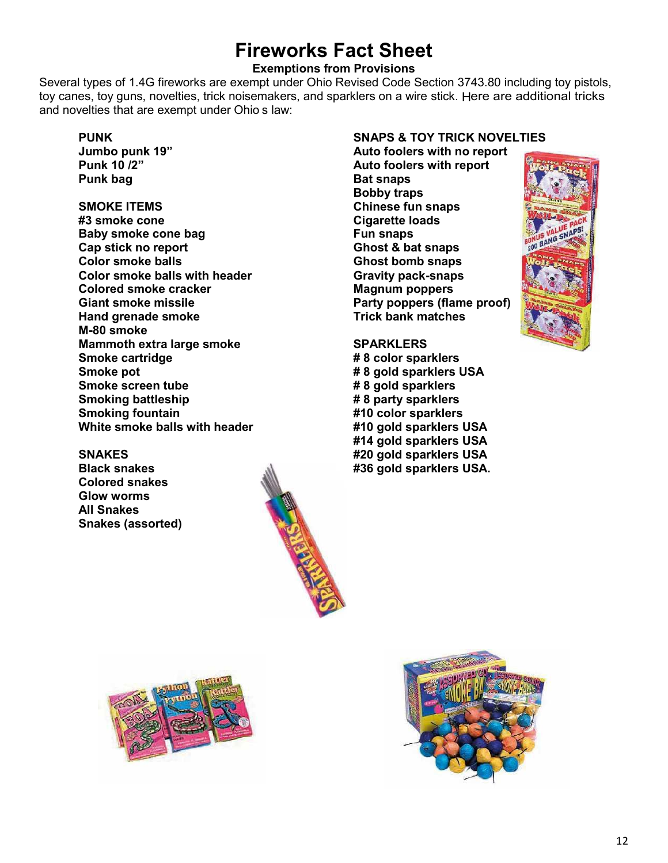# **Fireworks Fact Sheet**

### **Exemptions from Provisions**

Several types of 1.4G fireworks are exempt under Ohio Revised Code Section 3743.80 including toy pistols, toy canes, toy guns, novelties, trick noisemakers, and sparklers on a wire stick. Here are additional tricks and novelties that are exempt under Ohio's law:

#### **PUNK**

**Jumbo punk 19" Punk 10 /2" Punk bag**

## **SMOKE ITEMS**

**#3 smoke cone Baby smoke cone bag Cap stick no report Color smoke balls Color smoke balls with header Colored smoke cracker Giant smoke missile Hand grenade smoke M-80 smoke Mammoth extra large smoke Smoke cartridge Smoke pot Smoke screen tube Smoking battleship Smoking fountain White smoke balls with header**

#### **SNAKES**

**Black snakes Colored snakes Glow worms All Snakes Snakes (assorted)**

#### **SNAPS & TOY TRICK NOVELTIES**

**Auto foolers with no report Auto foolers with report Bat snaps Bobby traps Chinese fun snaps Cigarette loads Fun snaps Ghost & bat snaps Ghost bomb snaps Gravity pack-snaps Magnum poppers Party poppers (flame proof) Trick bank matches**

## **SPARKLERS**

**# 8 color sparklers # 8 gold sparklers USA # 8 gold sparklers # 8 party sparklers #10 color sparklers #10 gold sparklers USA #14 gold sparklers USA #20 gold sparklers USA #36 gold sparklers USA.**